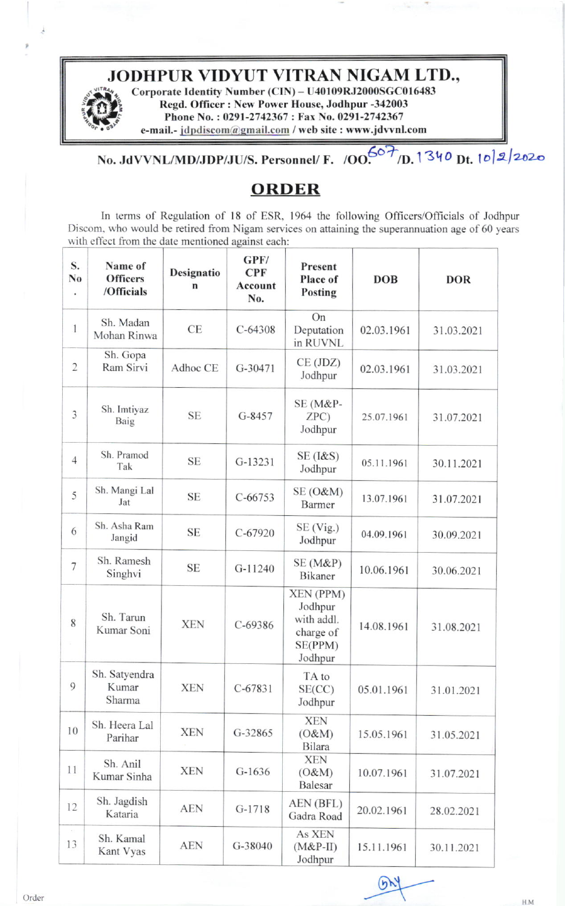## JODHPUR VIDYUT VITRAN NIGAM LTD.,

è

Corporate Identity Number (CIN) - U40109RJ2000SGC016483 Regd. Officer: New Power House, Jodhpur -342003 Phone No.: 0291-2742367: Fax No. 0291-2742367 e-mail.- jdpdiscom@gmail.com / web site : www.jdvvnl.com

## No. JdVVNL/MD/JDP/JU/S. Personnel/ F. /OO.607/D. 1340 Dt. 102/2020

## **ORDER**

In terms of Regulation of 18 of ESR, 1964 the following Officers/Officials of Jodhpur Discom, who would be retired from Nigam services on attaining the superannuation age of 60 years with effect from the date mentioned against each:

| S.<br>No<br>$\bullet$ | Name of<br><b>Officers</b><br>/Officials | Designatio<br>n | GPF/<br><b>CPF</b><br><b>Account</b><br>No. | Present<br>Place of<br>Posting                                        | <b>DOB</b> | <b>DOR</b> |
|-----------------------|------------------------------------------|-----------------|---------------------------------------------|-----------------------------------------------------------------------|------------|------------|
| 1                     | Sh. Madan<br>Mohan Rinwa                 | CE              | $C - 64308$                                 | On<br>Deputation<br>in RUVNL                                          | 02.03.1961 | 31.03.2021 |
| $\overline{2}$        | Sh. Gopa<br>Ram Sirvi                    | Adhoc CE        | $G-30471$                                   | CE (JDZ)<br>Jodhpur                                                   | 02.03.1961 | 31.03.2021 |
| 3                     | Sh. Imtiyaz<br>Baig                      | <b>SE</b>       | G-8457                                      | SE (M&P-<br>ZPC<br>Jodhpur                                            | 25.07.1961 | 31.07.2021 |
| $\overline{4}$        | Sh. Pramod<br>Tak                        | <b>SE</b>       | $G-13231$                                   | $SE$ ( $1&8$ S)<br>Jodhpur                                            | 05.11.1961 | 30.11.2021 |
| 5                     | Sh. Mangi Lal<br>Jat                     | <b>SE</b>       | $C - 66753$                                 | $SE(0\&M)$<br>Barmer                                                  | 13.07.1961 | 31.07.2021 |
| 6                     | Sh. Asha Ram<br>Jangid                   | <b>SE</b>       | $C-67920$                                   | $SE$ (Vig.)<br>Jodhpur                                                | 04.09.1961 | 30.09.2021 |
| 7                     | Sh. Ramesh<br>Singhvi                    | <b>SE</b>       | G-11240                                     | SE (M&P)<br>Bikaner                                                   | 10.06.1961 | 30.06.2021 |
| 8                     | Sh. Tarun<br>Kumar Soni                  | <b>XEN</b>      | $C-69386$                                   | XEN (PPM)<br>Jodhpur<br>with addl.<br>charge of<br>SE(PPM)<br>Jodhpur | 14.08.1961 | 31.08.2021 |
| 9                     | Sh. Satyendra<br>Kumar<br>Sharma         | <b>XEN</b>      | $C-67831$                                   | TA to<br>SE(CC)<br>Jodhpur                                            | 05.01.1961 | 31.01.2021 |
| 10                    | Sh. Heera Lal<br>Parihar                 | <b>XEN</b>      | G-32865                                     | <b>XEN</b><br>(O&M)<br><b>Bilara</b>                                  | 15.05.1961 | 31.05.2021 |
| 11                    | Sh. Anil<br>Kumar Sinha                  | <b>XEN</b>      | $G-1636$                                    | <b>XEN</b><br>(O&M)<br><b>Balesar</b>                                 | 10.07.1961 | 31.07.2021 |
| 12                    | Sh. Jagdish<br>Kataria                   | <b>AEN</b>      | $G-1718$                                    | AEN (BFL)<br>Gadra Road                                               | 20.02.1961 | 28.02.2021 |
| $\mathbb{R}^3$<br>13  | Sh. Kamal<br>Kant Vyas                   | <b>AEN</b>      | G-38040                                     | As XEN<br>$(M&P-II)$<br>Jodhpur                                       | 15.11.1961 | 30.11.2021 |

 $(n)$